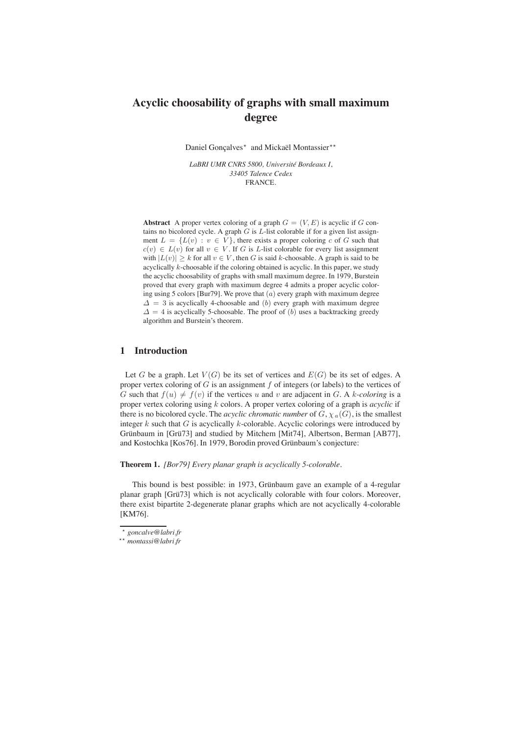# **Acyclic choosability of graphs with small maximum degree**

Daniel Gonçalves<sup>\*</sup> and Mickaël Montassier<sup>\*\*</sup>

*LaBRI UMR CNRS 5800, Université Bordeaux I*, *33405 Talence Cedex* FRANCE.

**Abstract** A proper vertex coloring of a graph  $G = (V, E)$  is acyclic if G contains no bicolored cycle. A graph  $G$  is  $L$ -list colorable if for a given list assignment  $L = \{L(v) : v \in V\}$ , there exists a proper coloring c of G such that  $c(v) \in L(v)$  for all  $v \in V$ . If G is L-list colorable for every list assignment with  $|L(v)| \geq k$  for all  $v \in V$ , then G is said k-choosable. A graph is said to be acyclically k-choosable if the coloring obtained is acyclic. In this paper, we study the acyclic choosability of graphs with small maximum degree. In 1979, Burstein proved that every graph with maximum degree 4 admits a proper acyclic coloring using 5 colors [Bur79]. We prove that  $(a)$  every graph with maximum degree  $\Delta = 3$  is acyclically 4-choosable and (b) every graph with maximum degree  $\Delta = 4$  is acyclically 5-choosable. The proof of (b) uses a backtracking greedy algorithm and Burstein's theorem.

# **1 Introduction**

Let G be a graph. Let  $V(G)$  be its set of vertices and  $E(G)$  be its set of edges. A proper vertex coloring of  $G$  is an assignment  $f$  of integers (or labels) to the vertices of G such that  $f(u) \neq f(v)$  if the vertices u and v are adjacent in G. A k-coloring is a proper vertex coloring using k colors. A proper vertex coloring of a graph is *acyclic* if there is no bicolored cycle. The *acyclic chromatic number* of  $G$ ,  $\chi_a(G)$ , is the smallest integer  $k$  such that  $G$  is acyclically  $k$ -colorable. Acyclic colorings were introduced by Grünbaum in [Grü73] and studied by Mitchem [Mit74], Albertson, Berman [AB77], and Kostochka [Kos76]. In 1979, Borodin proved Grünbaum's conjecture:

**Theorem 1.** *[Bor79] Every planar graph is acyclically 5-colorable.*

This bound is best possible: in 1973, Grünbaum gave an example of a 4-regular planar graph [Grü73] which is not acyclically colorable with four colors. Moreover, there exist bipartite 2-degenerate planar graphs which are not acyclically 4-colorable [KM76].

<sup>⋆</sup> *goncalve@labri.fr*

<sup>⋆⋆</sup> *montassi@labri.fr*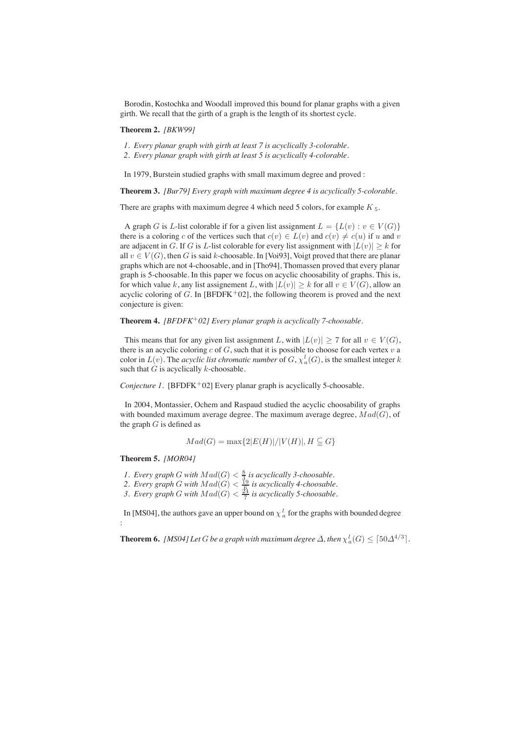Borodin, Kostochka and Woodall improved this bound for planar graphs with a given girth. We recall that the girth of a graph is the length of its shortest cycle.

## **Theorem 2.** *[BKW99]*

- *1. Every planar graph with girth at least 7 is acyclically 3-colorable.*
- *2. Every planar graph with girth at least 5 is acyclically 4-colorable.*

In 1979, Burstein studied graphs with small maximum degree and proved :

**Theorem 3.** *[Bur79] Every graph with maximum degree 4 is acyclically 5-colorable.*

There are graphs with maximum degree 4 which need 5 colors, for example  $K_5$ .

A graph G is L-list colorable if for a given list assignment  $L = \{L(v) : v \in V(G)\}\$ there is a coloring c of the vertices such that  $c(v) \in L(v)$  and  $c(v) \neq c(u)$  if u and v are adjacent in G. If G is L-list colorable for every list assignment with  $|L(v)| \geq k$  for all  $v \in V(G)$ , then G is said k-choosable. In [Voi93], Voigt proved that there are planar graphs which are not 4-choosable, and in [Tho94], Thomassen proved that every planar graph is 5-choosable. In this paper we focus on acyclic choosability of graphs. This is, for which value k, any list assignement L, with  $|L(v)| \ge k$  for all  $v \in V(G)$ , allow an acyclic coloring of G. In [BFDFK+02], the following theorem is proved and the next conjecture is given:

**Theorem 4.** *[BFDFK*<sup>+</sup>*02] Every planar graph is acyclically 7-choosable.*

This means that for any given list assignment L, with  $|L(v)| \ge 7$  for all  $v \in V(G)$ , there is an acyclic coloring c of G, such that it is possible to choose for each vertex  $v$  a color in  $L(v)$ . The *acyclic list chromatic number* of  $G, \chi_a^l(G)$ , is the smallest integer k such that  $G$  is acyclically  $k$ -choosable.

*Conjecture 1.* [BFDFK<sup>+</sup>02] Every planar graph is acyclically 5-choosable.

In 2004, Montassier, Ochem and Raspaud studied the acyclic choosability of graphs with bounded maximum average degree. The maximum average degree,  $Mad(G)$ , of the graph  $G$  is defined as

$$
Mad(G) = \max\{2|E(H)|/|V(H)|, H \subseteq G\}
$$

#### **Theorem 5.** *[MOR04]*

:

*1. Every graph G* with  $Mad(G) < \frac{8}{3}$  *is acyclically 3-choosable.* 

2. Every graph G with  $Mad(G) < \frac{19}{6}$  is acyclically 4-choosable.

3. Every graph G with  $Mad(G) < \frac{24}{7}$  is acyclically 5-choosable.

In [MS04], the authors gave an upper bound on  $\chi_a^l$  for the graphs with bounded degree

**Theorem 6.** [MS04] Let G be a graph with maximum degree  $\Delta$ , then  $\chi_a^l(G) \leq \lceil 50 \Delta^{4/3} \rceil$ .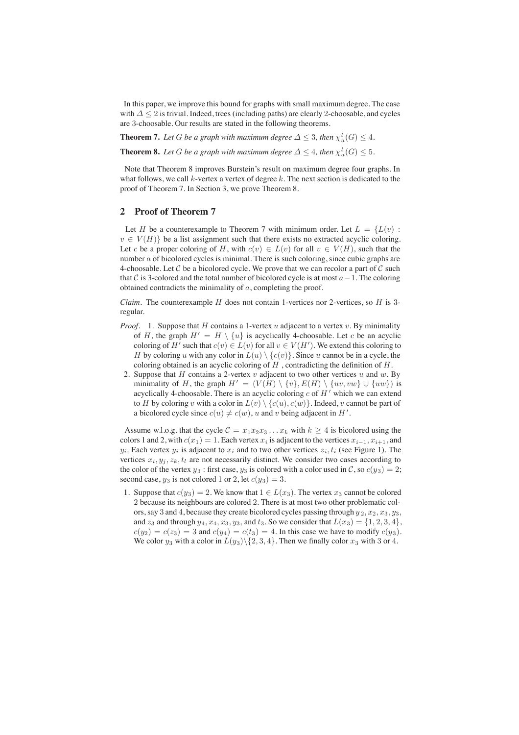In this paper, we improve this bound for graphs with small maximum degree. The case with  $\Delta$  < 2 is trivial. Indeed, trees (including paths) are clearly 2-choosable, and cycles are 3-choosable. Our results are stated in the following theorems.

**Theorem 7.** Let G be a graph with maximum degree  $\Delta \leq 3$ , then  $\chi_a^l(G) \leq 4$ .

**Theorem 8.** Let G be a graph with maximum degree  $\Delta \leq 4$ , then  $\chi_a^l(G) \leq 5$ .

Note that Theorem 8 improves Burstein's result on maximum degree four graphs. In what follows, we call  $k$ -vertex a vertex of degree k. The next section is dedicated to the proof of Theorem 7. In Section 3, we prove Theorem 8.

# **2 Proof of Theorem 7**

Let H be a counterexample to Theorem 7 with minimum order. Let  $L = \{L(v) :$  $v \in V(H)$  be a list assignment such that there exists no extracted acyclic coloring. Let c be a proper coloring of H, with  $c(v) \in L(v)$  for all  $v \in V(H)$ , such that the number a of bicolored cycles is minimal. There is such coloring, since cubic graphs are 4-choosable. Let C be a bicolored cycle. We prove that we can recolor a part of C such that C is 3-colored and the total number of bicolored cycle is at most  $a-1$ . The coloring obtained contradicts the minimality of  $a$ , completing the proof.

*Claim.* The counterexample  $H$  does not contain 1-vertices nor 2-vertices, so  $H$  is 3regular.

- *Proof.* 1. Suppose that H contains a 1-vertex u adjacent to a vertex v. By minimality of H, the graph  $H' = H \setminus \{u\}$  is acyclically 4-choosable. Let c be an acyclic coloring of H' such that  $c(v) \in L(v)$  for all  $v \in V(H')$ . We extend this coloring to H by coloring u with any color in  $L(u) \setminus \{c(v)\}\)$ . Since u cannot be in a cycle, the coloring obtained is an acyclic coloring of  $H$ , contradicting the definition of  $H$ .
- 2. Suppose that  $H$  contains a 2-vertex  $v$  adjacent to two other vertices  $u$  and  $w$ . By minimality of H, the graph  $H' = (V(H) \setminus \{v\}, E(H) \setminus \{uv, vw\} \cup \{uw\})$  is acyclically 4-choosable. There is an acyclic coloring  $c$  of  $H'$  which we can extend to H by coloring v with a color in  $L(v) \setminus \{c(u), c(w)\}\$ . Indeed, v cannot be part of a bicolored cycle since  $c(u) \neq c(w)$ , u and v being adjacent in  $H'$ .

Assume w.l.o.g. that the cycle  $C = x_1x_2x_3...x_k$  with  $k \ge 4$  is bicolored using the colors 1 and 2, with  $c(x_1)=1$ . Each vertex  $x_i$  is adjacent to the vertices  $x_{i-1}, x_{i+1}$ , and  $y_i$ . Each vertex  $y_i$  is adjacent to  $x_i$  and to two other vertices  $z_i$ ,  $t_i$  (see Figure 1). The vertices  $x_i, y_j, z_k, t_l$  are not necessarily distinct. We consider two cases according to the color of the vertex  $y_3$ : first case,  $y_3$  is colored with a color used in C, so  $c(y_3)=2$ ; second case,  $y_3$  is not colored 1 or 2, let  $c(y_3)=3$ .

1. Suppose that  $c(y_3)=2$ . We know that  $1 \in L(x_3)$ . The vertex  $x_3$  cannot be colored 2 because its neighbours are colored 2. There is at most two other problematic colors, say 3 and 4, because they create bicolored cycles passing through  $y_2, x_2, x_3, y_3$ , and  $z_3$  and through  $y_4$ ,  $x_4$ ,  $x_3$ ,  $y_3$ , and  $t_3$ . So we consider that  $L(x_3) = \{1, 2, 3, 4\}$ ,  $c(y_2) = c(z_3) = 3$  and  $c(y_4) = c(t_3) = 4$ . In this case we have to modify  $c(y_3)$ . We color  $y_3$  with a color in  $L(y_3) \setminus \{2, 3, 4\}$ . Then we finally color  $x_3$  with 3 or 4.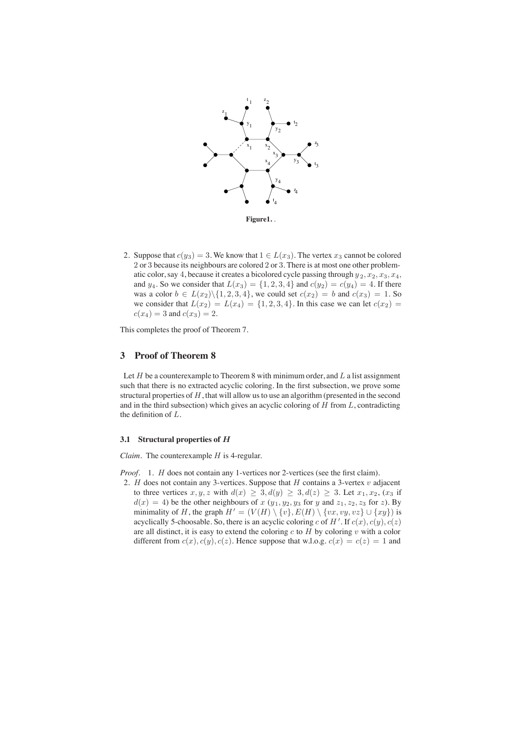

2. Suppose that  $c(y_3)=3$ . We know that  $1 \in L(x_3)$ . The vertex  $x_3$  cannot be colored 2 or 3 because its neighbours are colored 2 or 3. There is at most one other problematic color, say 4, because it creates a bicolored cycle passing through  $y_2, x_2, x_3, x_4$ , and  $y_4$ . So we consider that  $L(x_3) = \{1, 2, 3, 4\}$  and  $c(y_2) = c(y_4) = 4$ . If there was a color  $b \in L(x_2) \setminus \{1, 2, 3, 4\}$ , we could set  $c(x_2) = b$  and  $c(x_3) = 1$ . So we consider that  $L(x_2) = L(x_4) = \{1, 2, 3, 4\}$ . In this case we can let  $c(x_2) =$  $c(x_4)=3$  and  $c(x_3)=2$ .

This completes the proof of Theorem 7.

## **3 Proof of Theorem 8**

Let  $H$  be a counterexample to Theorem 8 with minimum order, and  $L$  a list assignment such that there is no extracted acyclic coloring. In the first subsection, we prove some structural properties of  $H$ , that will allow us to use an algorithm (presented in the second and in the third subsection) which gives an acyclic coloring of  $H$  from  $L$ , contradicting the definition of L.

#### **3.1 Structural properties of** H

*Claim.* The counterexample *H* is 4-regular.

*Proof.* 1. *H* does not contain any 1-vertices nor 2-vertices (see the first claim).

2. H does not contain any 3-vertices. Suppose that H contains a 3-vertex  $v$  adjacent to three vertices  $x, y, z$  with  $d(x) \geq 3, d(y) \geq 3, d(z) \geq 3$ . Let  $x_1, x_2, (x_3)$  if  $d(x)=4$ ) be the other neighbours of x  $(y_1, y_2, y_3)$  for y and  $z_1, z_2, z_3$  for z). By minimality of H, the graph  $H' = (V(H) \setminus \{v\}, E(H) \setminus \{vx, vy, vz\} \cup \{xy\})$  is acyclically 5-choosable. So, there is an acyclic coloring c of H'. If  $c(x)$ ,  $c(y)$ ,  $c(z)$ are all distinct, it is easy to extend the coloring  $c$  to  $H$  by coloring  $v$  with a color different from  $c(x)$ ,  $c(y)$ ,  $c(z)$ . Hence suppose that w.l.o.g.  $c(x) = c(z) = 1$  and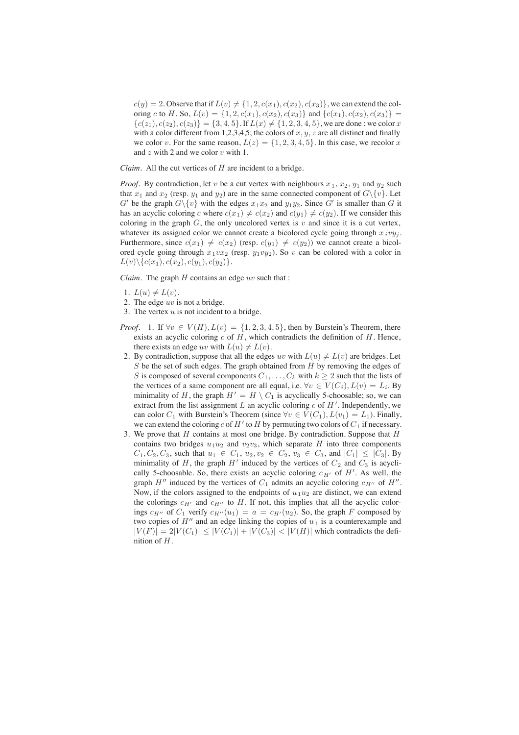$c(y)=2$ . Observe that if  $L(v) \neq \{1, 2, c(x_1), c(x_2), c(x_3)\}\,$ , we can extend the coloring c to H. So,  $L(v) = \{1, 2, c(x_1), c(x_2), c(x_3)\}\$  and  $\{c(x_1), c(x_2), c(x_3)\}$  ${c(z_1), c(z_2), c(z_3)} = {3, 4, 5}$ . If  $L(x) \neq {1, 2, 3, 4, 5}$ , we are done : we color x with a color different from 1,2,3,4,5; the colors of  $x, y, z$  are all distinct and finally we color v. For the same reason,  $L(z) = \{1, 2, 3, 4, 5\}$ . In this case, we recolor x and  $z$  with 2 and we color  $v$  with 1.

*Claim.* All the cut vertices of H are incident to a bridge.

*Proof.* By contradiction, let v be a cut vertex with neighbours  $x_1, x_2, y_1$  and  $y_2$  such that  $x_1$  and  $x_2$  (resp.  $y_1$  and  $y_2$ ) are in the same connected component of  $G\backslash \{v\}$ . Let G' be the graph  $G \setminus \{v\}$  with the edges  $x_1x_2$  and  $y_1y_2$ . Since G' is smaller than G it has an acyclic coloring c where  $c(x_1) \neq c(x_2)$  and  $c(y_1) \neq c(y_2)$ . If we consider this coloring in the graph  $G$ , the only uncolored vertex is v and since it is a cut vertex, whatever its assigned color we cannot create a bicolored cycle going through  $x_i v y_i$ . Furthermore, since  $c(x_1) \neq c(x_2)$  (resp.  $c(y_1) \neq c(y_2)$ ) we cannot create a bicolored cycle going through  $x_1vx_2$  (resp.  $y_1vy_2$ ). So v can be colored with a color in  $L(v)\setminus \{c(x_1), c(x_2), c(y_1), c(y_2)\}.$ 

*Claim.* The graph  $H$  contains an edge  $uv$  such that :

- 1.  $L(u) \neq L(v)$ .
- 2. The edge  $uv$  is not a bridge.
- 3. The vertex  $u$  is not incident to a bridge.
- *Proof.* 1. If  $\forall v \in V(H)$ ,  $L(v) = \{1, 2, 3, 4, 5\}$ , then by Burstein's Theorem, there exists an acyclic coloring  $c$  of  $H$ , which contradicts the definition of  $H$ . Hence, there exists an edge uv with  $L(u) \neq L(v)$ .
- 2. By contradiction, suppose that all the edges uv with  $L(u) \neq L(v)$  are bridges. Let  $S$  be the set of such edges. The graph obtained from  $H$  by removing the edges of S is composed of several components  $C_1, \ldots, C_k$  with  $k \geq 2$  such that the lists of the vertices of a same component are all equal, i.e.  $\forall v \in V(C_i)$ ,  $L(v) = L_i$ . By minimality of H, the graph  $H' = H \setminus C_1$  is acyclically 5-choosable; so, we can extract from the list assignment L an acyclic coloring  $c$  of  $H'$ . Independently, we can color  $C_1$  with Burstein's Theorem (since  $\forall v \in V(C_1), L(v_1) = L_1$ ). Finally, we can extend the coloring c of  $H'$  to  $H$  by permuting two colors of  $C_1$  if necessary.
- 3. We prove that  $H$  contains at most one bridge. By contradiction. Suppose that  $H$ contains two bridges  $u_1u_2$  and  $v_2v_3$ , which separate H into three components  $C_1, C_2, C_3$ , such that  $u_1 \in C_1, u_2, v_2 \in C_2, v_3 \in C_3$ , and  $|C_1| \leq |C_3|$ . By minimality of H, the graph  $H'$  induced by the vertices of  $C_2$  and  $C_3$  is acyclically 5-choosable. So, there exists an acyclic coloring  $c_{H'}$  of  $H'$ . As well, the graph H'' induced by the vertices of  $C_1$  admits an acyclic coloring  $c_{H''}$  of H''. Now, if the colors assigned to the endpoints of  $u_1u_2$  are distinct, we can extend the colorings  $c_{H'}$  and  $c_{H''}$  to H. If not, this implies that all the acyclic colorings  $c_{H''}$  of  $C_1$  verify  $c_{H''}(u_1) = a = c_{H'}(u_2)$ . So, the graph F composed by two copies of  $H''$  and an edge linking the copies of  $u_1$  is a counterexample and  $|V(F)| = 2|V(C_1)| \leq |V(C_1)| + |V(C_3)| < |V(H)|$  which contradicts the definition of H.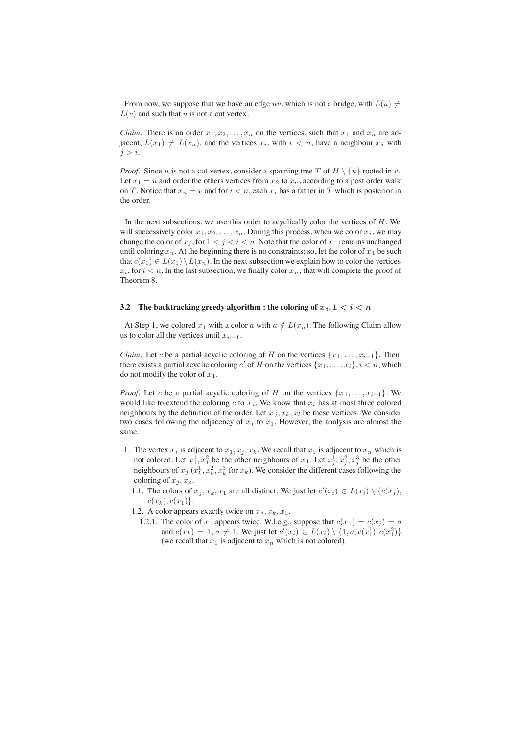From now, we suppose that we have an edge uv, which is not a bridge, with  $L(u) \neq$  $L(v)$  and such that u is not a cut vertex.

*Claim.* There is an order  $x_1, x_2, \ldots, x_n$  on the vertices, such that  $x_1$  and  $x_n$  are adjacent,  $L(x_1) \neq L(x_n)$ , and the vertices  $x_i$ , with  $i < n$ , have a neighbour  $x_j$  with  $j>i.$ 

*Proof.* Since u is not a cut vertex, consider a spanning tree T of  $H \setminus \{u\}$  rooted in v. Let  $x_1 = u$  and order the others vertices from  $x_2$  to  $x_n$ , according to a post order walk on T. Notice that  $x_n = v$  and for  $i < n$ , each  $x_i$  has a father in T which is posterior in the order.

In the next subsections, we use this order to acyclically color the vertices of  $H$ . We will successively color  $x_1, x_2, \ldots, x_n$ . During this process, when we color  $x_i$ , we may change the color of  $x_j$ , for  $1 < j < i < n$ . Note that the color of  $x_1$  remains unchanged until coloring  $x_n$ . At the beginning there is no constraints; so, let the color of  $x_1$  be such that  $c(x_1) \in L(x_1) \setminus L(x_n)$ . In the next subsection we explain how to color the vertices  $x_i$ , for  $i < n$ . In the last subsection, we finally color  $x_n$ ; that will complete the proof of Theorem 8.

#### **3.2** The backtracking greedy algorithm : the coloring of  $x_i, 1 \leq i \leq n$

At Step 1, we colored  $x_1$  with a color a with  $a \notin L(x_n)$ . The following Claim allow us to color all the vertices until  $x_{n-1}$ .

*Claim.* Let c be a partial acyclic coloring of H on the vertices  $\{x_1, \ldots, x_{i-1}\}\.$  Then, there exists a partial acyclic coloring c' of H on the vertices  $\{x_1, \ldots, x_i\}$ ,  $i < n$ , which do not modify the color of  $x_1$ .

*Proof.* Let c be a partial acyclic coloring of H on the vertices  $\{x_1, \ldots, x_{i-1}\}$ . We would like to extend the coloring c to  $x_i$ . We know that  $x_i$  has at most three colored neighbours by the definition of the order. Let  $x_j, x_k, x_l$  be these vertices. We consider two cases following the adjacency of  $x_i$  to  $x_1$ . However, the analysis are almost the same.

- 1. The vertex  $x_i$  is adjacent to  $x_1, x_i, x_k$ . We recall that  $x_1$  is adjacent to  $x_n$  which is not colored. Let  $x_1^1, x_1^2$  be the other neighbours of  $x_1$ . Let  $x_j^1, x_j^2, x_j^3$  be the other neighbours of  $x_j$  ( $x_k^1, x_k^2, x_k^3$  for  $x_k$ ). We consider the different cases following the coloring of  $x_j, x_k$ .
	- 1.1. The colors of  $x_j, x_k, x_1$  are all distinct. We just let  $c'(x_i) \in L(x_i) \setminus \{c(x_j),$  $c(x_k), c(x_1)\}.$
	- 1.2. A color appears exactly twice on  $x_j, x_k, x_1$ .
		- 1.2.1. The color of  $x_1$  appears twice. W.l.o.g., suppose that  $c(x_1) = c(x_i) = a$ and  $c(x_k) = 1, a \neq 1$ . We just let  $c'(x_i) \in L(x_i) \setminus \{1, a, c(x_1^1), c(x_1^2)\}\$ (we recall that  $x_1$  is adjacent to  $x_n$  which is not colored).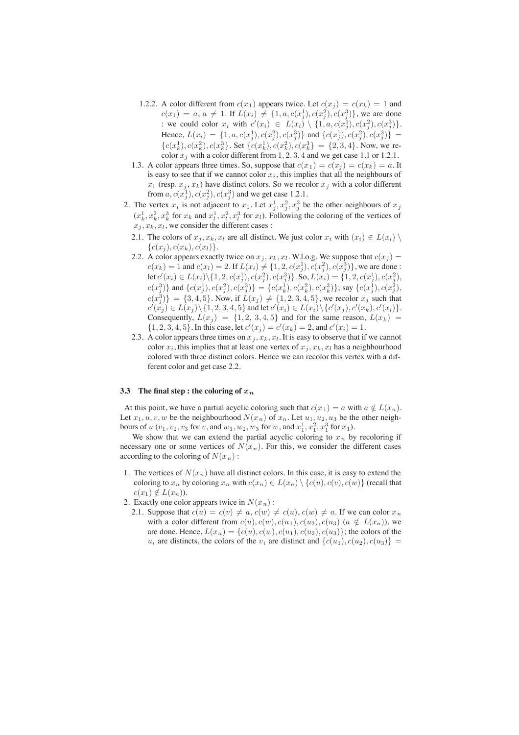- 1.2.2. A color different from  $c(x_1)$  appears twice. Let  $c(x_i) = c(x_k) = 1$  and  $c(x_1) = a, a \neq 1$ . If  $L(x_i) \neq \{1, a, c(x_j^1), c(x_j^2), c(x_j^3)\}\)$ , we are done : we could color  $x_i$  with  $c'(x_i) \in L(x_i) \setminus \{1, a, c(x_j^1), c(x_j^2), c(x_j^3)\}.$ Hence,  $L(x_i) = \{1, a, c(x_j^1), c(x_j^2), c(x_j^3)\}\$  and  $\{c(x_j^1), c(x_j^2), c(x_j^3)\} =$  ${c(x_k^1), c(x_k^2), c(x_k^3)}$ . Set  ${c(x_k^1), c(x_k^2), c(x_k^3)} = {2, 3, 4}$ . Now, we recolor  $x_j$  with a color different from 1, 2, 3, 4 and we get case 1.1 or 1.2.1.
- 1.3. A color appears three times. So, suppose that  $c(x_1) = c(x_j) = c(x_k) = a$ . It is easy to see that if we cannot color  $x_i$ , this implies that all the neighbours of  $x_1$  (resp.  $x_j, x_k$ ) have distinct colors. So we recolor  $x_j$  with a color different from  $a, c(x_j^1), c(x_j^2), c(x_j^3)$  and we get case 1.2.1.
- 2. The vertex  $x_i$  is not adjacent to  $x_1$ . Let  $x_j^1, x_j^2, x_j^3$  be the other neighbours of  $x_j$  $(x_k^1, x_k^2, x_k^3$  for  $x_k$  and  $x_l^1, x_l^2, x_l^3$  for  $x_l$ ). Following the coloring of the vertices of  $x_j, x_k, x_l$ , we consider the different cases :
	- 2.1. The colors of  $x_j, x_k, x_l$  are all distinct. We just color  $x_i$  with  $(x_i) \in L(x_i) \setminus$  ${c(x_i), c(x_k), c(x_l)}.$
	- 2.2. A color appears exactly twice on  $x_j$ ,  $x_k$ ,  $x_l$ . W.l.o.g. We suppose that  $c(x_j)$  =  $c(x_k) = 1$  and  $c(x_l) = 2$ . If  $L(x_i) \neq \{1, 2, c(x_j^1), c(x_j^2), c(x_j^3)\}\)$ , we are done :  $\mathrm{let}\, c'(x_i) \in L(x_i) \backslash \{1, 2, c(x_j^1), c(x_j^2), c(x_j^3)\}.$  So,  $L(x_i) = \{1, 2, c(x_j^1), c(x_j^2), c(x_j^2), c(x_j^3)\}.$  $c(x_j^3) \}$  and  $\{c(x_j^1), c(x_j^2), c(x_j^3) \} = \{c(x_k^1), c(x_k^2), c(x_k^3) \}$ ; say  $\{c(x_j^1), c(x_j^2),$  $c(x_j^3)$ } = {3, 4, 5}. Now, if  $L(x_j) \neq \{1, 2, 3, 4, 5\}$ , we recolor  $x_j$  such that  $c'(x_j) \in L(x_j) \setminus \{1, 2, 3, 4, 5\}$  and let  $c'(x_i) \in L(x_i) \setminus \{c'(x_j), c'(x_k), c'(x_l)\}.$ Consequently,  $L(x_i) = \{1, 2, 3, 4, 5\}$  and for the same reason,  $L(x_k) =$  $\{1, 2, 3, 4, 5\}$ . In this case, let  $c'(x_j) = c'(x_k) = 2$ , and  $c'(x_i) = 1$ .
	- 2.3. A color appears three times on  $x_j, x_k, x_l$ . It is easy to observe that if we cannot color  $x_i$ , this implies that at least one vertex of  $x_j, x_k, x_l$  has a neighbourhood colored with three distinct colors. Hence we can recolor this vertex with a different color and get case 2.2.

### **3.3** The final step : the coloring of  $x_n$

At this point, we have a partial acyclic coloring such that  $c(x_1) = a$  with  $a \notin L(x_n)$ . Let  $x_1, u, v, w$  be the neighbourhood  $N(x_n)$  of  $x_n$ . Let  $u_1, u_2, u_3$  be the other neighbours of  $u$   $(v_1, v_2, v_3$  for  $v$ , and  $w_1, w_2, w_3$  for  $w$ , and  $x_1^1, x_1^2, x_1^3$  for  $x_1$ ).

We show that we can extend the partial acyclic coloring to  $x_n$  by recoloring if necessary one or some vertices of  $N(x_n)$ . For this, we consider the different cases according to the coloring of  $N(x_n)$ :

- 1. The vertices of  $N(x_n)$  have all distinct colors. In this case, it is easy to extend the coloring to  $x_n$  by coloring  $x_n$  with  $c(x_n) \in L(x_n) \setminus \{c(u), c(v), c(w)\}\)$  (recall that  $c(x_1) \notin L(x_n)$ ).
- 2. Exactly one color appears twice in  $N(x_n)$ :
	- 2.1. Suppose that  $c(u) = c(v) \neq a$ ,  $c(w) \neq c(u)$ ,  $c(w) \neq a$ . If we can color  $x_n$ with a color different from  $c(u)$ ,  $c(w)$ ,  $c(u_1)$ ,  $c(u_2)$ ,  $c(u_3)$  ( $a \notin L(x_n)$ ), we are done. Hence,  $L(x_n) = \{c(u), c(w), c(u_1), c(u_2), c(u_3)\}$ ; the colors of the  $u_i$  are distincts, the colors of the  $v_i$  are distinct and  $\{c(u_1), c(u_2), c(u_3)\}$  =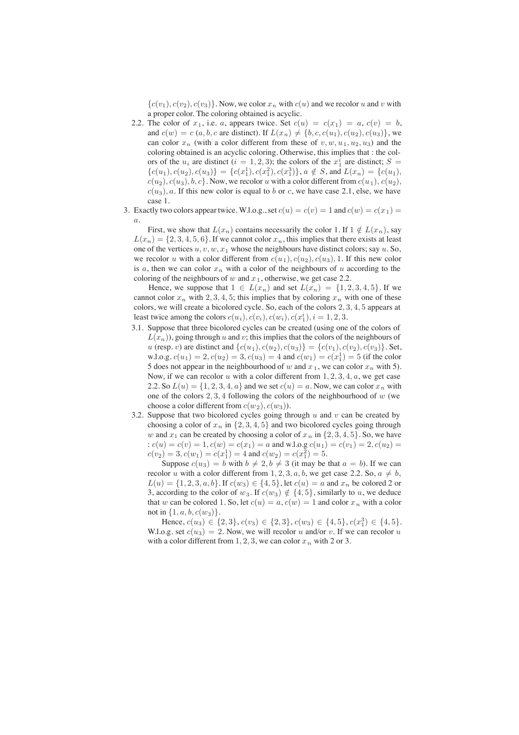${c(v_1), c(v_2), c(v_3)}$ . Now, we color  $x_n$  with  $c(u)$  and we recolor u and v with a proper color. The coloring obtained is acyclic.

- 2.2. The color of  $x_1$ , i.e. a, appears twice. Set  $c(u) = c(x_1) = a, c(v) = b$ , and  $c(w) = c(a, b, c$  are distinct). If  $L(x_n) \neq \{b, c, c(u_1), c(u_2), c(u_3)\}\)$ , we can color  $x_n$  (with a color different from these of  $v, w, u_1, u_2, u_3$ ) and the coloring obtained is an acyclic coloring. Otherwise, this implies that : the colors of the  $u_i$  are distinct  $(i = 1, 2, 3)$ ; the colors of the  $x_1^i$  are distinct;  $S =$  ${c(u_1), c(u_2), c(u_3)} = {c(x_1^1), c(x_1^2), c(x_1^3)}$ ,  $a \notin S$ , and  $L(x_n) = {c(u_1)}$ ,  $c(u_2), c(u_3), b, c\}$ . Now, we recolor u with a color different from  $c(u_1), c(u_2),$  $c(u_3)$ , a. If this new color is equal to b or c, we have case 2.1, else, we have case 1.
- 3. Exactly two colors appear twice. W.l.o.g., set  $c(u) = c(v) = 1$  and  $c(w) = c(x_1) = 1$  $\overline{a}$ .

First, we show that  $L(x_n)$  contains necessarily the color 1. If  $1 \notin L(x_n)$ , say  $L(x_n) = \{2, 3, 4, 5, 6\}$ . If we cannot color  $x_n$ , this implies that there exists at least one of the vertices  $u, v, w, x_1$  whose the neighbours have distinct colors; say  $u$ . So, we recolor u with a color different from  $c(u_1), c(u_2), c(u_3), 1$ . If this new color is  $a$ , then we can color  $x_n$  with a color of the neighbours of u according to the coloring of the neighbours of w and  $x_1$ , otherwise, we get case 2.2.

Hence, we suppose that  $1 \in L(x_n)$  and set  $L(x_n) = \{1, 2, 3, 4, 5\}$ . If we cannot color  $x_n$  with 2, 3, 4, 5; this implies that by coloring  $x_n$  with one of these colors, we will create a bicolored cycle. So, each of the colors 2, 3, 4, 5 appears at least twice among the colors  $c(u_i)$ ,  $c(v_i)$ ,  $c(w_i)$ ,  $c(x_1^i)$ ,  $i = 1, 2, 3$ .

- 3.1. Suppose that three bicolored cycles can be created (using one of the colors of  $L(x_n)$ , going through u and v; this implies that the colors of the neighbours of u (resp. v) are distinct and  $\{c(u_1), c(u_2), c(u_3)\} = \{c(v_1), c(v_2), c(v_3)\}$ . Set, w.l.o.g.  $c(u_1) = 2, c(u_2) = 3, c(u_3) = 4$  and  $c(w_1) = c(x_1^1) = 5$  (if the color 5 does not appear in the neighbourhood of w and  $x_1$ , we can color  $x_n$  with 5). Now, if we can recolor u with a color different from  $1, 2, 3, 4, a$ , we get case 2.2. So  $L(u) = \{1, 2, 3, 4, a\}$  and we set  $c(u) = a$ . Now, we can color  $x_n$  with one of the colors  $2, 3, 4$  following the colors of the neighbourhood of w (we choose a color different from  $c(w_2), c(w_3)$ ).
- 3.2. Suppose that two bicolored cycles going through  $u$  and  $v$  can be created by choosing a color of  $x_n$  in  $\{2, 3, 4, 5\}$  and two bicolored cycles going through w and  $x_1$  can be created by choosing a color of  $x_n$  in  $\{2, 3, 4, 5\}$ . So, we have :  $c(u) = c(v) = 1$ ,  $c(w) = c(x_1) = a$  and w.l.o.g  $c(u_1) = c(v_1) = 2$ ,  $c(u_2) =$  $c(v_2) = 3, c(w_1) = c(x_1^1) = 4$  and  $c(w_2) = c(x_1^2) = 5$ .

Suppose  $c(u_3) = b$  with  $b \neq 2, b \neq 3$  (it may be that  $a = b$ ). If we can recolor u with a color different from 1, 2, 3, a, b, we get case 2.2. So,  $a \neq b$ ,  $L(u) = \{1, 2, 3, a, b\}$ . If  $c(w_3) \in \{4, 5\}$ , let  $c(u) = a$  and  $x_n$  be colored 2 or 3, according to the color of  $w_3$ . If  $c(w_3) \notin \{4, 5\}$ , similarly to u, we deduce that w can be colored 1. So, let  $c(u) = a$ ,  $c(w) = 1$  and color  $x_n$  with a color not in  $\{1, a, b, c(w_3)\}.$ 

Hence,  $c(u_3) \in \{2,3\}$ ,  $c(v_3) \in \{2,3\}$ ,  $c(w_3) \in \{4,5\}$ ,  $c(x_1^3) \in \{4,5\}$ . W.l.o.g. set  $c(u_3)=2$ . Now, we will recolor u and/or v. If we can recolor u with a color different from 1, 2, 3, we can color  $x_n$  with 2 or 3.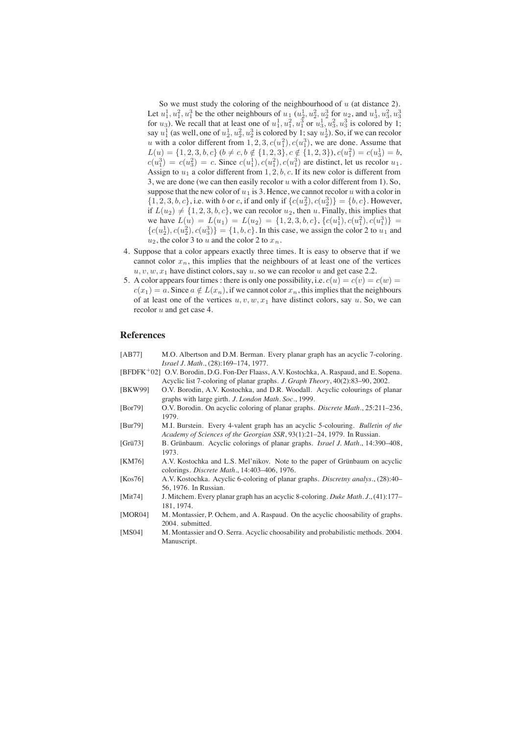So we must study the coloring of the neighbourhood of  $u$  (at distance 2). Let  $u_1^1, u_1^2, u_1^3$  be the other neighbours of  $u_1$  ( $u_2^1, u_2^2, u_2^3$  for  $u_2$ , and  $u_3^1, u_3^2, u_3^3$ for  $u_3$ ). We recall that at least one of  $u_1^1, u_1^2, u_1^3$  or  $u_3^1, u_3^2, u_3^3$  is colored by 1; say  $u_1^1$  (as well, one of  $u_2^1, u_2^2, u_2^3$  is colored by 1; say  $u_2^1$ ). So, if we can recolor u with a color different from  $1, 2, 3, c(u_1^2), c(u_1^3)$ , we are done. Assume that  $L(u) = \{1, 2, 3, b, c\}$   $(b \neq c, b \notin \{1, 2, 3\}, c \notin \{1, 2, 3\}, c(u_1^2) = c(u_3^1) = b,$  $c(u_1^3) = c(u_3^2) = c$ . Since  $c(u_1^1), c(u_1^2), c(u_1^3)$  are distinct, let us recolor  $u_1$ . Assign to  $u_1$  a color different from 1, 2, b, c. If its new color is different from 3, we are done (we can then easily recolor  $u$  with a color different from 1). So, suppose that the new color of  $u_1$  is 3. Hence, we cannot recolor u with a color in  $\{1, 2, 3, b, c\}$ , i.e. with b or c, if and only if  $\{c(u_2^2), c(u_2^3)\} = \{b, c\}$ . However, if  $L(u_2) \neq \{1, 2, 3, b, c\}$ , we can recolor  $u_2$ , then u. Finally, this implies that we have  $L(u) = L(u_1) = L(u_2) = \{1, 2, 3, b, c\}, \{c(u_1^1), c(u_1^2), c(u_1^3)\} =$  ${c(u_2^1), c(u_2^2), c(u_3^3)} = {1, b, c}$ . In this case, we assign the color 2 to  $u_1$  and  $u_2$ , the color 3 to u and the color 2 to  $x_n$ .

- 4. Suppose that a color appears exactly three times. It is easy to observe that if we cannot color  $x_n$ , this implies that the neighbours of at least one of the vertices  $u, v, w, x_1$  have distinct colors, say u. so we can recolor u and get case 2.2.
- 5. A color appears four times : there is only one possibility, i.e.  $c(u) = c(v) = c(w) = c(w)$  $c(x_1) = a$ . Since  $a \notin L(x_n)$ , if we cannot color  $x_n$ , this implies that the neighbours of at least one of the vertices  $u, v, w, x_1$  have distinct colors, say u. So, we can recolor  $u$  and get case 4.

## **References**

- [AB77] M.O. Albertson and D.M. Berman. Every planar graph has an acyclic 7-coloring. *Israel J. Math.*, (28):169–174, 1977.
- [BFDFK<sup>+</sup>02] O.V. Borodin, D.G. Fon-Der Flaass, A.V. Kostochka, A. Raspaud, and E. Sopena. Acyclic list 7-coloring of planar graphs. *J. Graph Theory*, 40(2):83–90, 2002.
- [BKW99] O.V. Borodin, A.V. Kostochka, and D.R. Woodall. Acyclic colourings of planar graphs with large girth. *J. London Math. Soc.*, 1999.
- [Bor79] O.V. Borodin. On acyclic coloring of planar graphs. *Discrete Math.*, 25:211–236, 1979.
- [Bur79] M.I. Burstein. Every 4-valent graph has an acyclic 5-colouring. *Bulletin of the Academy of Sciences of the Georgian SSR*, 93(1):21–24, 1979. In Russian.
- [Grü73] B. Grünbaum. Acyclic colorings of planar graphs. *Israel J. Math.*, 14:390–408, 1973.
- [KM76] A.V. Kostochka and L.S. Mel'nikov. Note to the paper of Grünbaum on acyclic colorings. *Discrete Math.*, 14:403–406, 1976.
- [Kos76] A.V. Kostochka. Acyclic 6-coloring of planar graphs. *Discretny analys.*, (28):40– 56, 1976. In Russian.
- [Mit74] J. Mitchem. Every planar graph has an acyclic 8-coloring. *Duke Math. J.*, (41):177– 181, 1974.
- [MOR04] M. Montassier, P. Ochem, and A. Raspaud. On the acyclic choosability of graphs. 2004. submitted.
- [MS04] M. Montassier and O. Serra. Acyclic choosability and probabilistic methods. 2004. Manuscript.